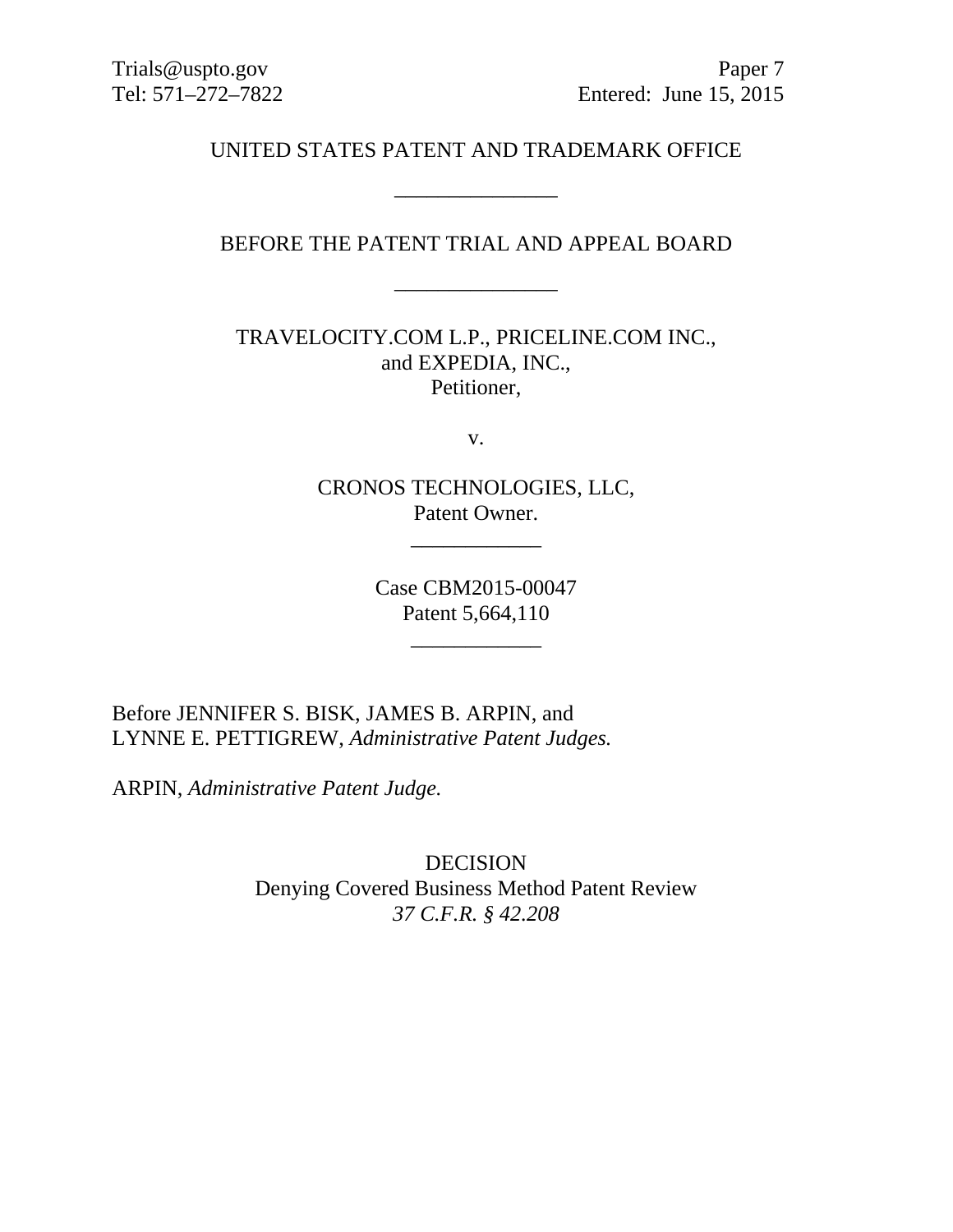Trials@uspto.gov Paper 7 Tel: 571–272–7822 Entered: June 15, 2015

### UNITED STATES PATENT AND TRADEMARK OFFICE

\_\_\_\_\_\_\_\_\_\_\_\_\_\_\_

BEFORE THE PATENT TRIAL AND APPEAL BOARD

\_\_\_\_\_\_\_\_\_\_\_\_\_\_\_

TRAVELOCITY.COM L.P., PRICELINE.COM INC., and EXPEDIA, INC., Petitioner,

v.

CRONOS TECHNOLOGIES, LLC, Patent Owner.

\_\_\_\_\_\_\_\_\_\_\_\_

Case CBM2015-00047 Patent 5,664,110

\_\_\_\_\_\_\_\_\_\_\_\_

Before JENNIFER S. BISK, JAMES B. ARPIN, and LYNNE E. PETTIGREW, *Administrative Patent Judges.*

ARPIN, *Administrative Patent Judge.*

DECISION Denying Covered Business Method Patent Review *37 C.F.R. § 42.208*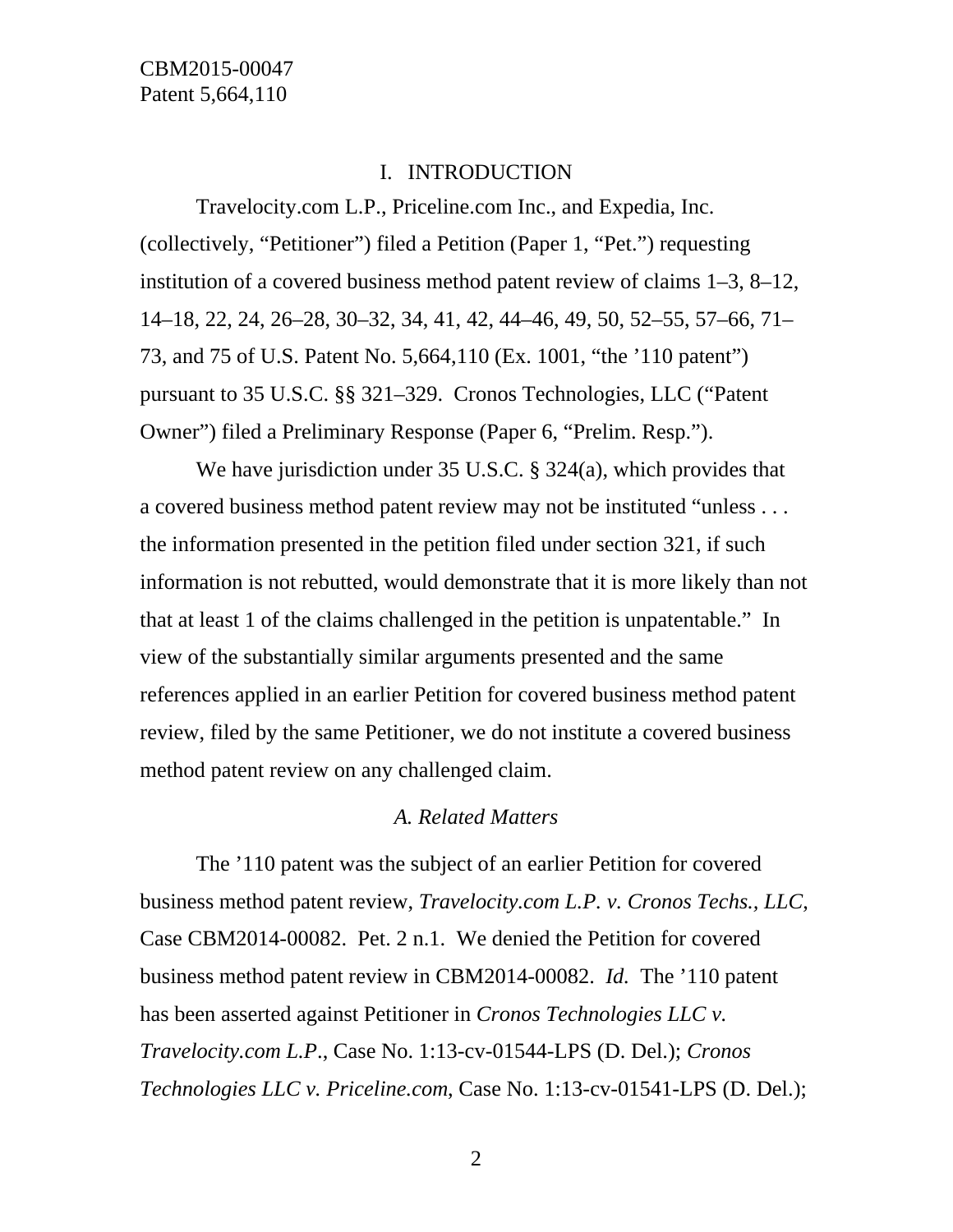#### I. INTRODUCTION

Travelocity.com L.P., Priceline.com Inc., and Expedia, Inc. (collectively, "Petitioner") filed a Petition (Paper 1, "Pet.") requesting institution of a covered business method patent review of claims 1–3, 8–12, 14–18, 22, 24, 26–28, 30–32, 34, 41, 42, 44–46, 49, 50, 52–55, 57–66, 71– 73, and 75 of U.S. Patent No. 5,664,110 (Ex. 1001, "the '110 patent") pursuant to 35 U.S.C. §§ 321–329. Cronos Technologies, LLC ("Patent Owner") filed a Preliminary Response (Paper 6, "Prelim. Resp.").

We have jurisdiction under 35 U.S.C. § 324(a), which provides that a covered business method patent review may not be instituted "unless . . . the information presented in the petition filed under section 321, if such information is not rebutted, would demonstrate that it is more likely than not that at least 1 of the claims challenged in the petition is unpatentable." In view of the substantially similar arguments presented and the same references applied in an earlier Petition for covered business method patent review, filed by the same Petitioner, we do not institute a covered business method patent review on any challenged claim.

# *A. Related Matters*

The '110 patent was the subject of an earlier Petition for covered business method patent review, *Travelocity.com L.P. v. Cronos Techs., LLC*, Case CBM2014-00082. Pet. 2 n.1. We denied the Petition for covered business method patent review in CBM2014-00082. *Id.* The '110 patent has been asserted against Petitioner in *Cronos Technologies LLC v. Travelocity.com L.P*., Case No. 1:13-cv-01544-LPS (D. Del.); *Cronos Technologies LLC v. Priceline.com*, Case No. 1:13-cv-01541-LPS (D. Del.);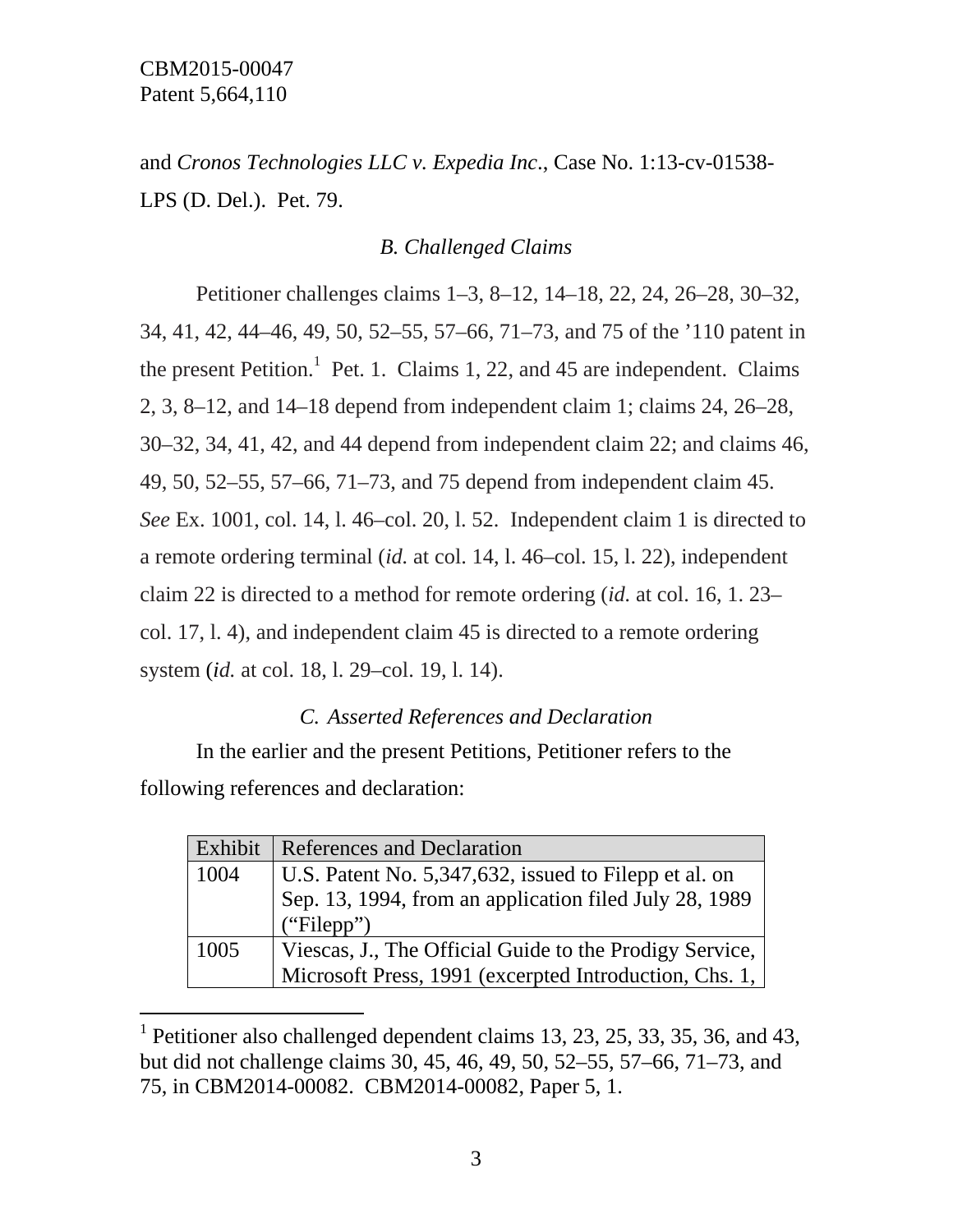$\overline{a}$ 

and *Cronos Technologies LLC v. Expedia Inc*., Case No. 1:13-cv-01538- LPS (D. Del.). Pet. 79.

# *B. Challenged Claims*

Petitioner challenges claims 1–3, 8–12, 14–18, 22, 24, 26–28, 30–32, 34, 41, 42, 44–46, 49, 50, 52–55, 57–66, 71–73, and 75 of the '110 patent in the present Petition.<sup>1</sup> Pet. 1. Claims 1, 22, and 45 are independent. Claims 2, 3, 8–12, and 14–18 depend from independent claim 1; claims 24, 26–28, 30–32, 34, 41, 42, and 44 depend from independent claim 22; and claims 46, 49, 50, 52–55, 57–66, 71–73, and 75 depend from independent claim 45. *See* Ex. 1001, col. 14, l. 46–col. 20, l. 52. Independent claim 1 is directed to a remote ordering terminal (*id.* at col. 14, l. 46–col. 15, l. 22), independent claim 22 is directed to a method for remote ordering (*id.* at col. 16, 1. 23– col. 17, l. 4), and independent claim 45 is directed to a remote ordering system (*id.* at col. 18, l. 29–col. 19, l. 14).

# *C. Asserted References and Declaration*

In the earlier and the present Petitions, Petitioner refers to the following references and declaration:

| Exhibit | References and Declaration                              |
|---------|---------------------------------------------------------|
| 1004    | U.S. Patent No. 5,347,632, issued to Filepp et al. on   |
|         | Sep. 13, 1994, from an application filed July 28, 1989  |
|         | ("Filepp")                                              |
| 1005    | Viescas, J., The Official Guide to the Prodigy Service, |
|         | Microsoft Press, 1991 (excerpted Introduction, Chs. 1,  |

<sup>&</sup>lt;sup>1</sup> Petitioner also challenged dependent claims 13, 23, 25, 33, 35, 36, and 43, but did not challenge claims 30, 45, 46, 49, 50, 52–55, 57–66, 71–73, and 75, in CBM2014-00082. CBM2014-00082, Paper 5, 1.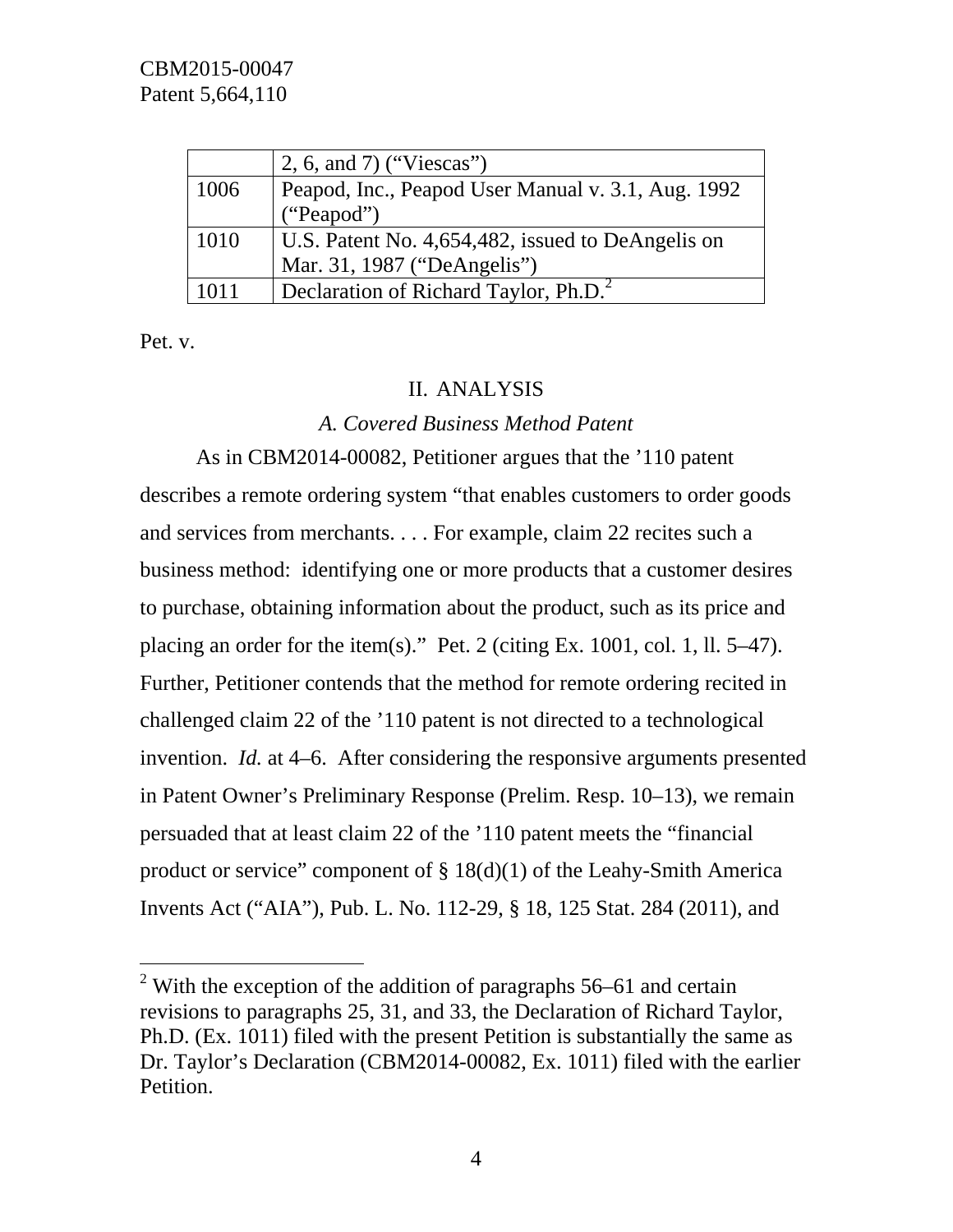CBM2015-00047 Patent 5,664,110

|      | 2, 6, and 7) ("Viescas")                           |
|------|----------------------------------------------------|
| 1006 | Peapod, Inc., Peapod User Manual v. 3.1, Aug. 1992 |
|      | ("Peapod")                                         |
| 1010 | U.S. Patent No. 4,654,482, issued to DeAngelis on  |
|      | Mar. 31, 1987 ("DeAngelis")                        |
| 1011 | Declaration of Richard Taylor, Ph.D. <sup>2</sup>  |

Pet. v.

 $\overline{a}$ 

# II. ANALYSIS

### *A. Covered Business Method Patent*

As in CBM2014-00082, Petitioner argues that the '110 patent describes a remote ordering system "that enables customers to order goods and services from merchants. . . . For example, claim 22 recites such a business method: identifying one or more products that a customer desires to purchase, obtaining information about the product, such as its price and placing an order for the item(s)." Pet. 2 (citing Ex. 1001, col. 1, ll. 5–47). Further, Petitioner contends that the method for remote ordering recited in challenged claim 22 of the '110 patent is not directed to a technological invention. *Id.* at 4–6. After considering the responsive arguments presented in Patent Owner's Preliminary Response (Prelim. Resp. 10–13), we remain persuaded that at least claim 22 of the '110 patent meets the "financial product or service" component of § 18(d)(1) of the Leahy-Smith America Invents Act ("AIA"), Pub. L. No. 112-29, § 18, 125 Stat. 284 (2011), and

<sup>&</sup>lt;sup>2</sup> With the exception of the addition of paragraphs 56–61 and certain revisions to paragraphs 25, 31, and 33, the Declaration of Richard Taylor, Ph.D. (Ex. 1011) filed with the present Petition is substantially the same as Dr. Taylor's Declaration (CBM2014-00082, Ex. 1011) filed with the earlier Petition.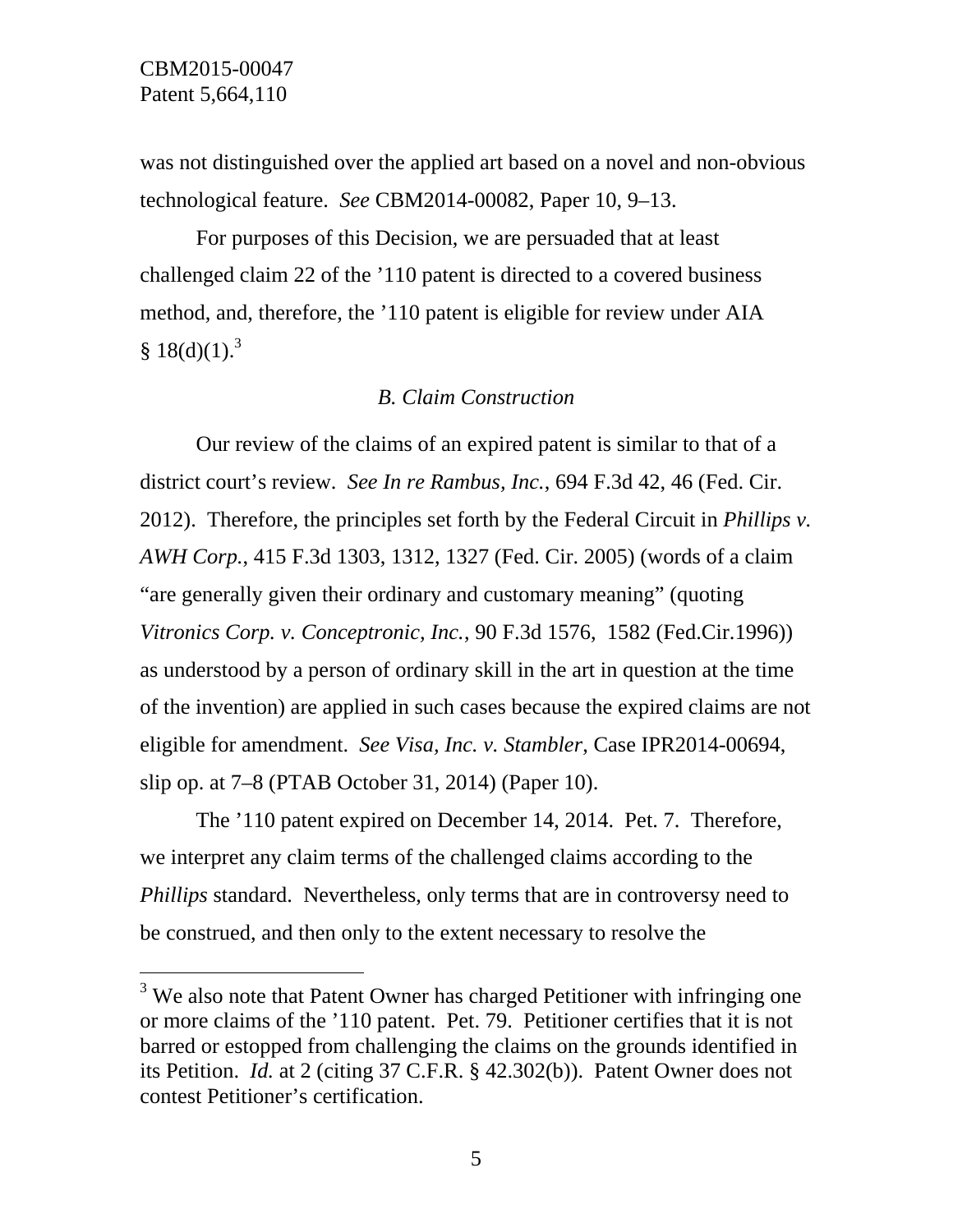-

was not distinguished over the applied art based on a novel and non-obvious technological feature. *See* CBM2014-00082, Paper 10, 9–13.

For purposes of this Decision, we are persuaded that at least challenged claim 22 of the '110 patent is directed to a covered business method, and, therefore, the '110 patent is eligible for review under AIA  $§ 18(d)(1).$ <sup>3</sup>

### *B. Claim Construction*

Our review of the claims of an expired patent is similar to that of a district court's review. *See In re Rambus, Inc.*, 694 F.3d 42, 46 (Fed. Cir. 2012). Therefore, the principles set forth by the Federal Circuit in *Phillips v. AWH Corp.*, 415 F.3d 1303, 1312, 1327 (Fed. Cir. 2005) (words of a claim "are generally given their ordinary and customary meaning" (quoting *Vitronics Corp. v. Conceptronic, Inc.*, 90 F.3d 1576, 1582 (Fed.Cir.1996)) as understood by a person of ordinary skill in the art in question at the time of the invention) are applied in such cases because the expired claims are not eligible for amendment. *See Visa, Inc. v. Stambler*, Case IPR2014-00694, slip op. at 7–8 (PTAB October 31, 2014) (Paper 10).

The '110 patent expired on December 14, 2014. Pet. 7. Therefore, we interpret any claim terms of the challenged claims according to the *Phillips* standard. Nevertheless, only terms that are in controversy need to be construed, and then only to the extent necessary to resolve the

 $3$  We also note that Patent Owner has charged Petitioner with infringing one or more claims of the '110 patent. Pet. 79. Petitioner certifies that it is not barred or estopped from challenging the claims on the grounds identified in its Petition. *Id.* at 2 (citing 37 C.F.R. § 42.302(b)). Patent Owner does not contest Petitioner's certification.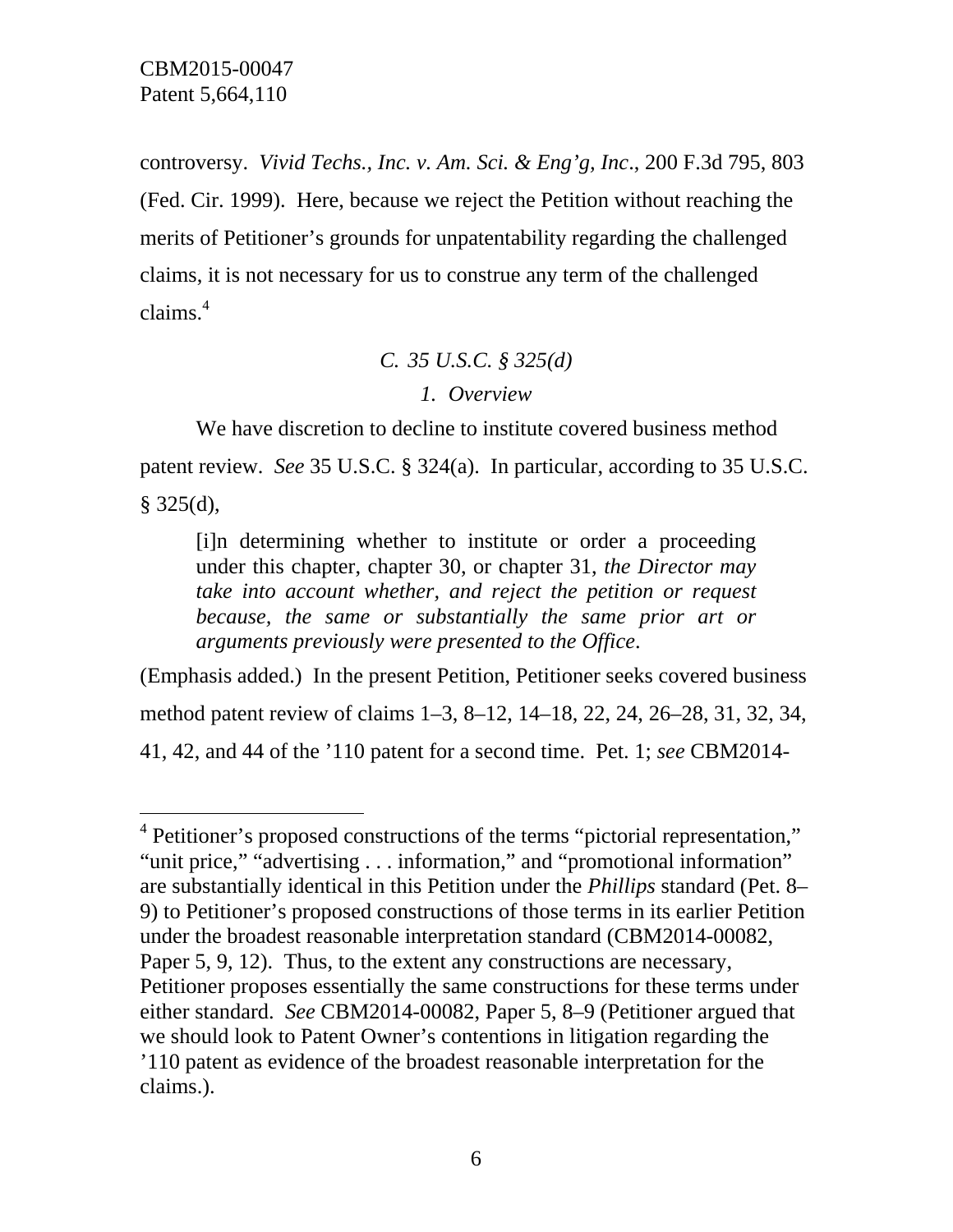CBM2015-00047 Patent 5,664,110

 $\overline{a}$ 

controversy. *Vivid Techs., Inc. v. Am. Sci. & Eng'g, Inc*., 200 F.3d 795, 803 (Fed. Cir. 1999). Here, because we reject the Petition without reaching the merits of Petitioner's grounds for unpatentability regarding the challenged claims, it is not necessary for us to construe any term of the challenged claims.<sup>4</sup>

# *C. 35 U.S.C. § 325(d)*

### *1. Overview*

We have discretion to decline to institute covered business method patent review. *See* 35 U.S.C. § 324(a). In particular, according to 35 U.S.C.  $§$  325(d),

[i]n determining whether to institute or order a proceeding under this chapter, chapter 30, or chapter 31, *the Director may take into account whether, and reject the petition or request because, the same or substantially the same prior art or arguments previously were presented to the Office*.

(Emphasis added.) In the present Petition, Petitioner seeks covered business method patent review of claims 1–3, 8–12, 14–18, 22, 24, 26–28, 31, 32, 34, 41, 42, and 44 of the '110 patent for a second time. Pet. 1; *see* CBM2014-

<sup>&</sup>lt;sup>4</sup> Petitioner's proposed constructions of the terms "pictorial representation," "unit price," "advertising . . . information," and "promotional information" are substantially identical in this Petition under the *Phillips* standard (Pet. 8– 9) to Petitioner's proposed constructions of those terms in its earlier Petition under the broadest reasonable interpretation standard (CBM2014-00082, Paper 5, 9, 12). Thus, to the extent any constructions are necessary, Petitioner proposes essentially the same constructions for these terms under either standard. *See* CBM2014-00082, Paper 5, 8–9 (Petitioner argued that we should look to Patent Owner's contentions in litigation regarding the '110 patent as evidence of the broadest reasonable interpretation for the claims.).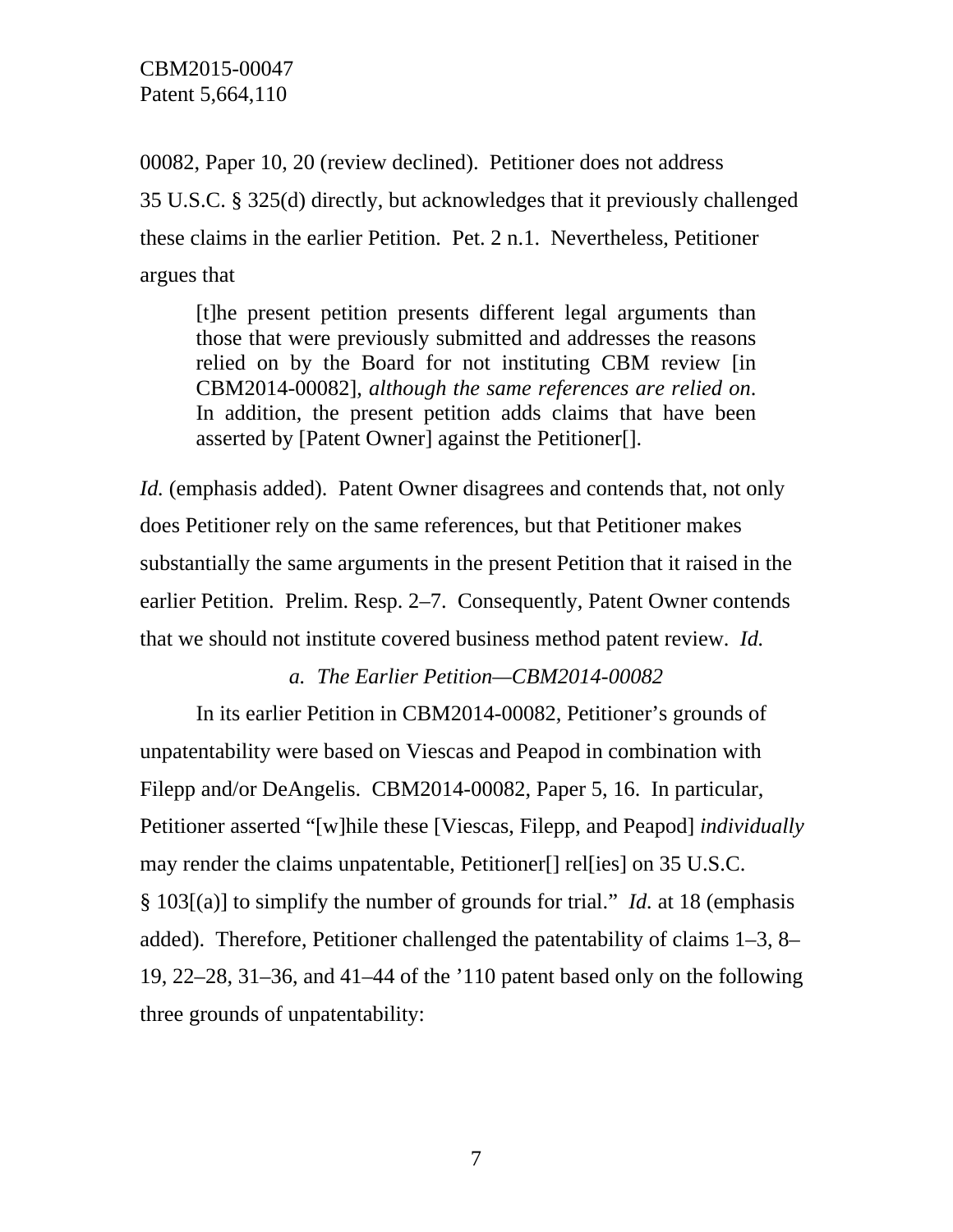00082, Paper 10, 20 (review declined). Petitioner does not address 35 U.S.C. § 325(d) directly, but acknowledges that it previously challenged these claims in the earlier Petition. Pet. 2 n.1. Nevertheless, Petitioner argues that

[t]he present petition presents different legal arguments than those that were previously submitted and addresses the reasons relied on by the Board for not instituting CBM review [in CBM2014-00082], *although the same references are relied on*. In addition, the present petition adds claims that have been asserted by [Patent Owner] against the Petitioner[].

*Id.* (emphasis added). Patent Owner disagrees and contends that, not only does Petitioner rely on the same references, but that Petitioner makes substantially the same arguments in the present Petition that it raised in the earlier Petition. Prelim. Resp. 2–7. Consequently, Patent Owner contends that we should not institute covered business method patent review. *Id.*

### *a. The Earlier Petition—CBM2014-00082*

In its earlier Petition in CBM2014-00082, Petitioner's grounds of unpatentability were based on Viescas and Peapod in combination with Filepp and/or DeAngelis. CBM2014-00082, Paper 5, 16. In particular, Petitioner asserted "[w]hile these [Viescas, Filepp, and Peapod] *individually* may render the claims unpatentable, Petitioner[] rel[ies] on 35 U.S.C. § 103[(a)] to simplify the number of grounds for trial." *Id.* at 18 (emphasis added). Therefore, Petitioner challenged the patentability of claims 1–3, 8– 19, 22–28, 31–36, and 41–44 of the '110 patent based only on the following three grounds of unpatentability: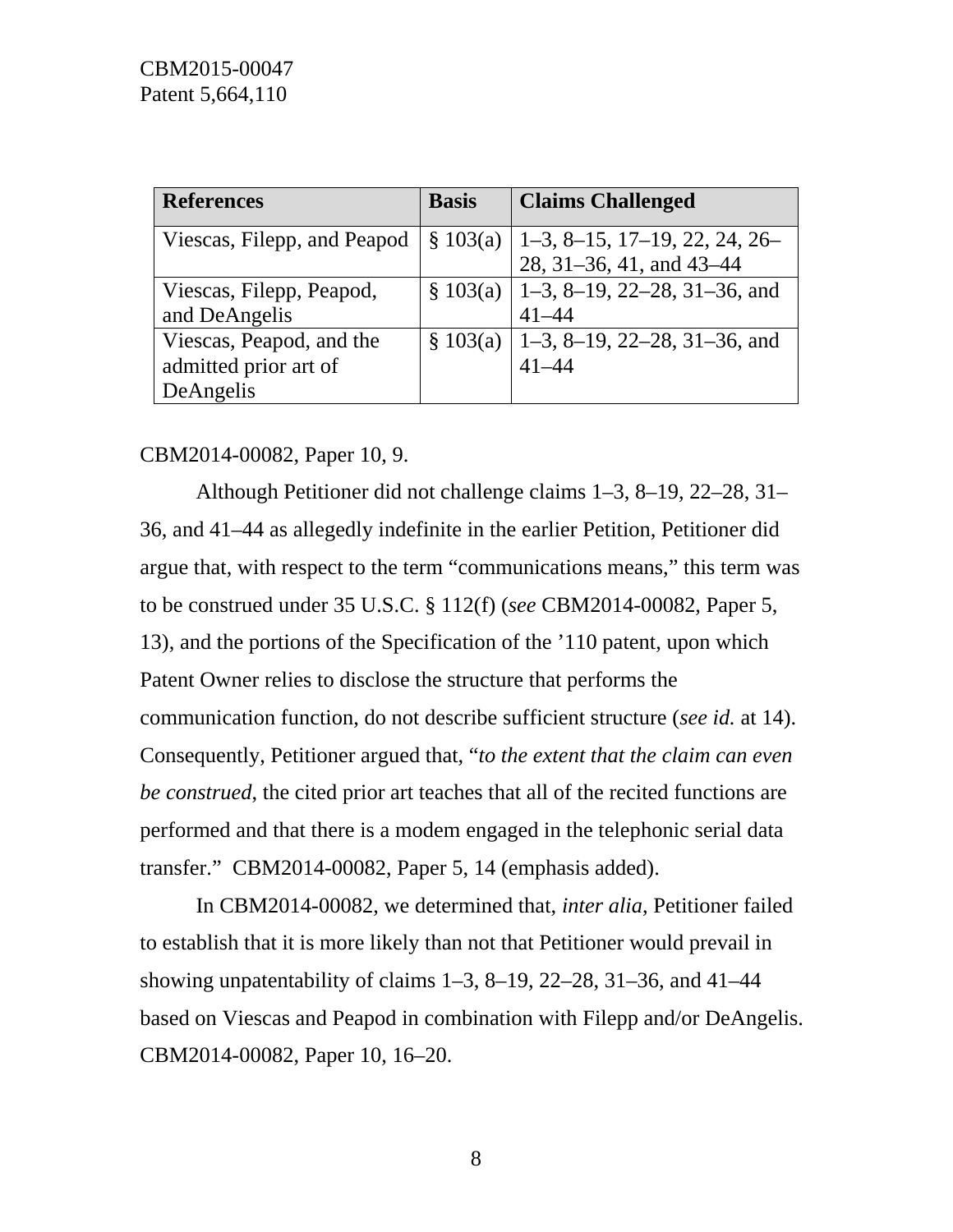| <b>References</b>           | <b>Basis</b> | <b>Claims Challenged</b>                    |
|-----------------------------|--------------|---------------------------------------------|
| Viescas, Filepp, and Peapod |              | $\S$ 103(a)   1–3, 8–15, 17–19, 22, 24, 26– |
|                             |              | 28, 31-36, 41, and 43-44                    |
| Viescas, Filepp, Peapod,    |              | $\S 103(a)$   1–3, 8–19, 22–28, 31–36, and  |
| and DeAngelis               |              | $41 - 44$                                   |
| Viescas, Peapod, and the    |              | $\S 103(a)$   1–3, 8–19, 22–28, 31–36, and  |
| admitted prior art of       |              | $41 - 44$                                   |
| DeAngelis                   |              |                                             |

# CBM2014-00082, Paper 10, 9.

Although Petitioner did not challenge claims 1–3, 8–19, 22–28, 31– 36, and 41–44 as allegedly indefinite in the earlier Petition, Petitioner did argue that, with respect to the term "communications means," this term was to be construed under 35 U.S.C. § 112(f) (*see* CBM2014-00082, Paper 5, 13), and the portions of the Specification of the '110 patent, upon which Patent Owner relies to disclose the structure that performs the communication function, do not describe sufficient structure (*see id.* at 14). Consequently, Petitioner argued that, "*to the extent that the claim can even be construed*, the cited prior art teaches that all of the recited functions are performed and that there is a modem engaged in the telephonic serial data transfer." CBM2014-00082, Paper 5, 14 (emphasis added).

In CBM2014-00082, we determined that, *inter alia*, Petitioner failed to establish that it is more likely than not that Petitioner would prevail in showing unpatentability of claims  $1-3$ ,  $8-19$ ,  $22-28$ ,  $31-36$ , and  $41-44$ based on Viescas and Peapod in combination with Filepp and/or DeAngelis. CBM2014-00082, Paper 10, 16–20.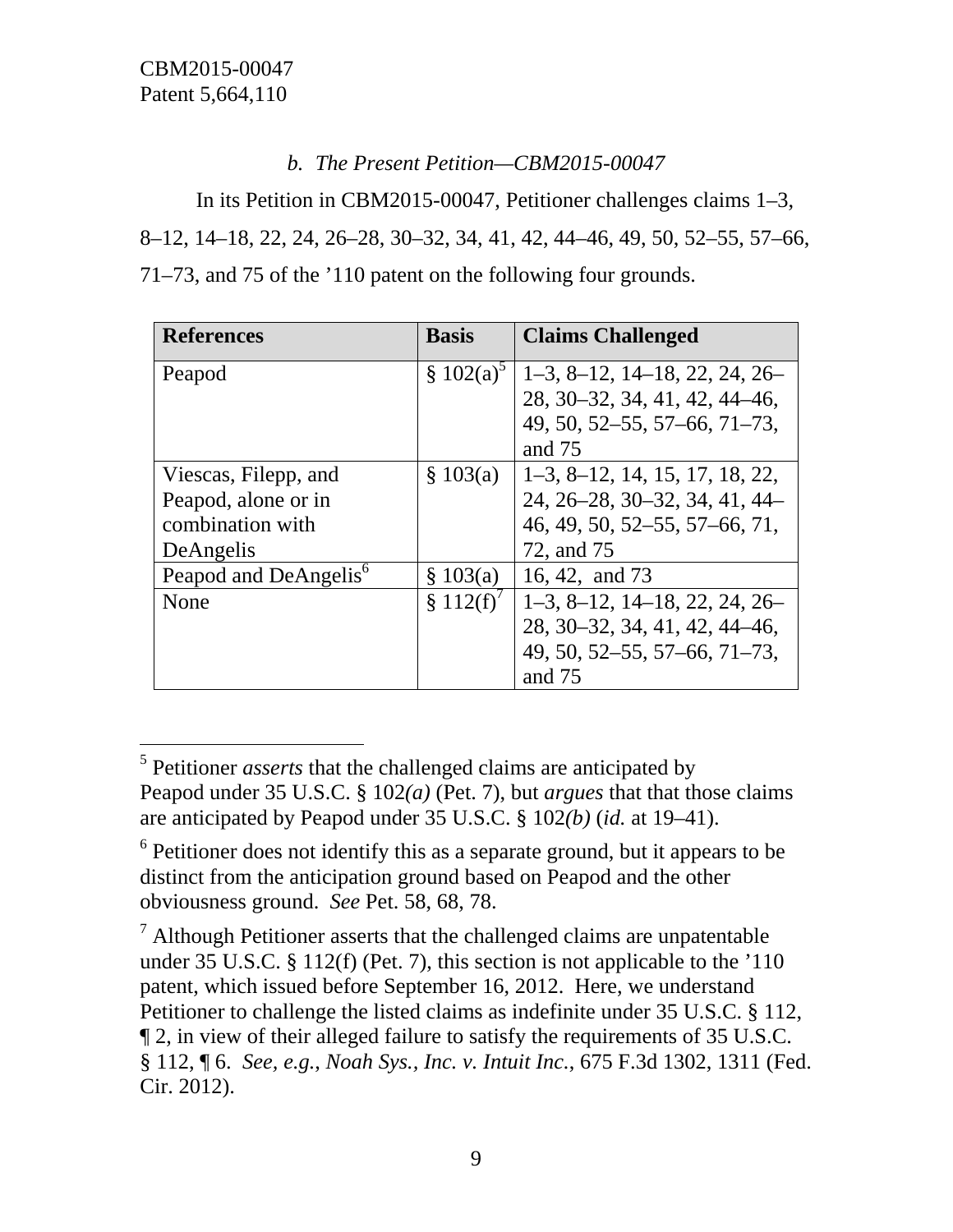l

# *b. The Present Petition—CBM2015-00047*

In its Petition in CBM2015-00047, Petitioner challenges claims 1–3, 8–12, 14–18, 22, 24, 26–28, 30–32, 34, 41, 42, 44–46, 49, 50, 52–55, 57–66, 71–73, and 75 of the '110 patent on the following four grounds.

| <b>References</b>                 | <b>Basis</b>             | <b>Claims Challenged</b>         |
|-----------------------------------|--------------------------|----------------------------------|
| Peapod                            | $\S$ 102(a) <sup>2</sup> | $1-3, 8-12, 14-18, 22, 24, 26-$  |
|                                   |                          | 28, 30–32, 34, 41, 42, 44–46,    |
|                                   |                          | 49, 50, 52–55, 57–66, 71–73,     |
|                                   |                          | and $75$                         |
| Viescas, Filepp, and              | \$103(a)                 | $1-3, 8-12, 14, 15, 17, 18, 22,$ |
| Peapod, alone or in               |                          | 24, 26–28, 30–32, 34, 41, 44–    |
| combination with                  |                          | 46, 49, 50, 52–55, 57–66, 71,    |
| DeAngelis                         |                          | 72, and 75                       |
| Peapod and DeAngelis <sup>6</sup> | \$103(a)                 | 16, 42, and 73                   |
| None                              | \$112(f)'                | $1-3, 8-12, 14-18, 22, 24, 26-$  |
|                                   |                          | 28, 30–32, 34, 41, 42, 44–46,    |
|                                   |                          | 49, 50, 52–55, 57–66, 71–73,     |
|                                   |                          | and 75                           |

<sup>5</sup> Petitioner *asserts* that the challenged claims are anticipated by Peapod under 35 U.S.C. § 102*(a)* (Pet. 7), but *argues* that that those claims are anticipated by Peapod under 35 U.S.C. § 102*(b)* (*id.* at 19–41).

 $6$  Petitioner does not identify this as a separate ground, but it appears to be distinct from the anticipation ground based on Peapod and the other obviousness ground. *See* Pet. 58, 68, 78.

 $<sup>7</sup>$  Although Petitioner asserts that the challenged claims are unpatentable</sup> under 35 U.S.C. § 112(f) (Pet. 7), this section is not applicable to the '110 patent, which issued before September 16, 2012. Here, we understand Petitioner to challenge the listed claims as indefinite under 35 U.S.C. § 112, ¶ 2, in view of their alleged failure to satisfy the requirements of 35 U.S.C. § 112, ¶ 6. *See, e.g.*, *Noah Sys., Inc. v. Intuit Inc.*, 675 F.3d 1302, 1311 (Fed. Cir. 2012).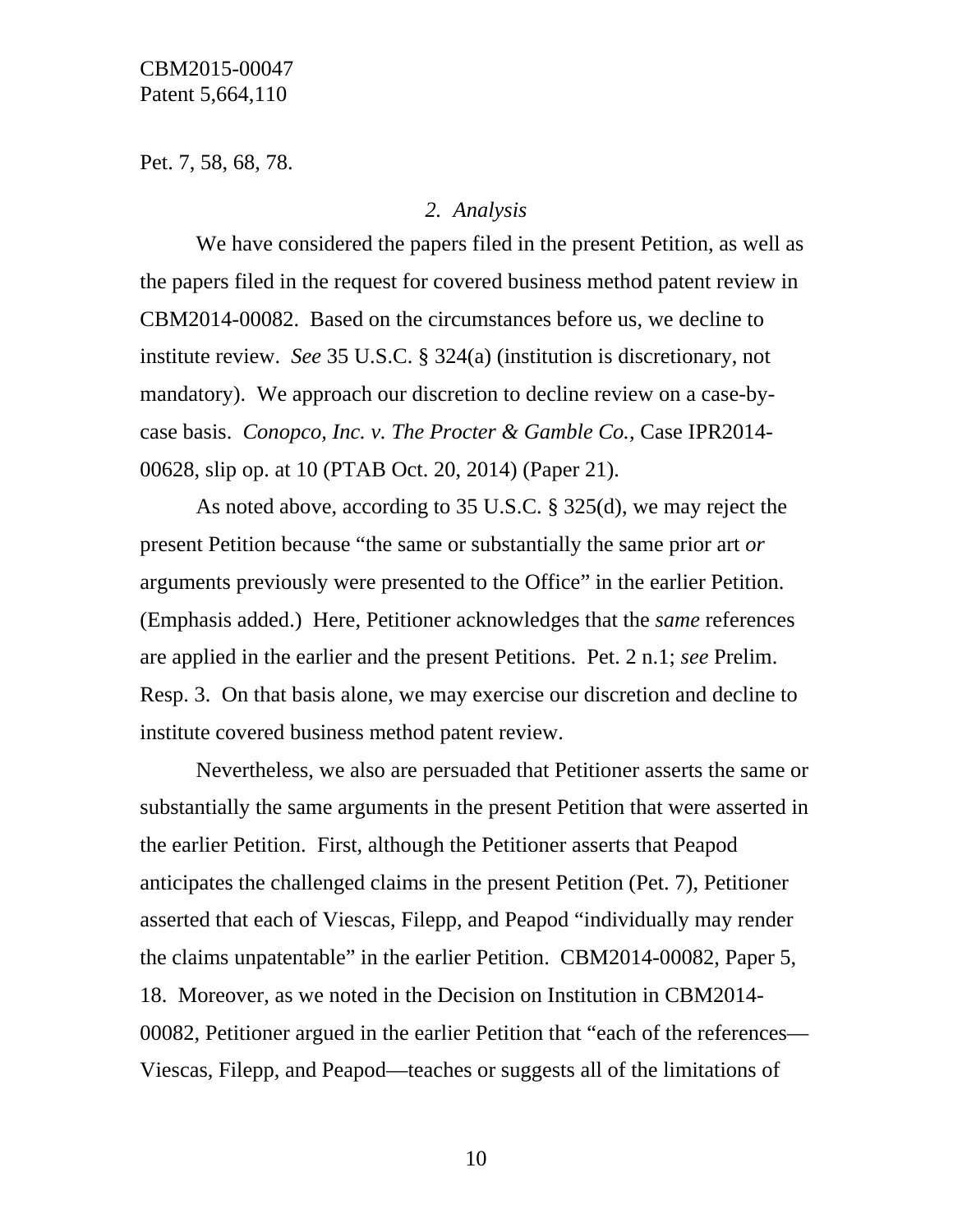Pet. 7, 58, 68, 78.

### *2. Analysis*

We have considered the papers filed in the present Petition, as well as the papers filed in the request for covered business method patent review in CBM2014-00082. Based on the circumstances before us, we decline to institute review. *See* 35 U.S.C. § 324(a) (institution is discretionary, not mandatory). We approach our discretion to decline review on a case-bycase basis. *Conopco, Inc. v. The Procter & Gamble Co.*, Case IPR2014- 00628, slip op. at 10 (PTAB Oct. 20, 2014) (Paper 21).

As noted above, according to 35 U.S.C. § 325(d), we may reject the present Petition because "the same or substantially the same prior art *or* arguments previously were presented to the Office" in the earlier Petition. (Emphasis added.) Here, Petitioner acknowledges that the *same* references are applied in the earlier and the present Petitions. Pet. 2 n.1; *see* Prelim. Resp. 3. On that basis alone, we may exercise our discretion and decline to institute covered business method patent review.

Nevertheless, we also are persuaded that Petitioner asserts the same or substantially the same arguments in the present Petition that were asserted in the earlier Petition. First, although the Petitioner asserts that Peapod anticipates the challenged claims in the present Petition (Pet. 7), Petitioner asserted that each of Viescas, Filepp, and Peapod "individually may render the claims unpatentable" in the earlier Petition. CBM2014-00082, Paper 5, 18. Moreover, as we noted in the Decision on Institution in CBM2014- 00082, Petitioner argued in the earlier Petition that "each of the references— Viescas, Filepp, and Peapod—teaches or suggests all of the limitations of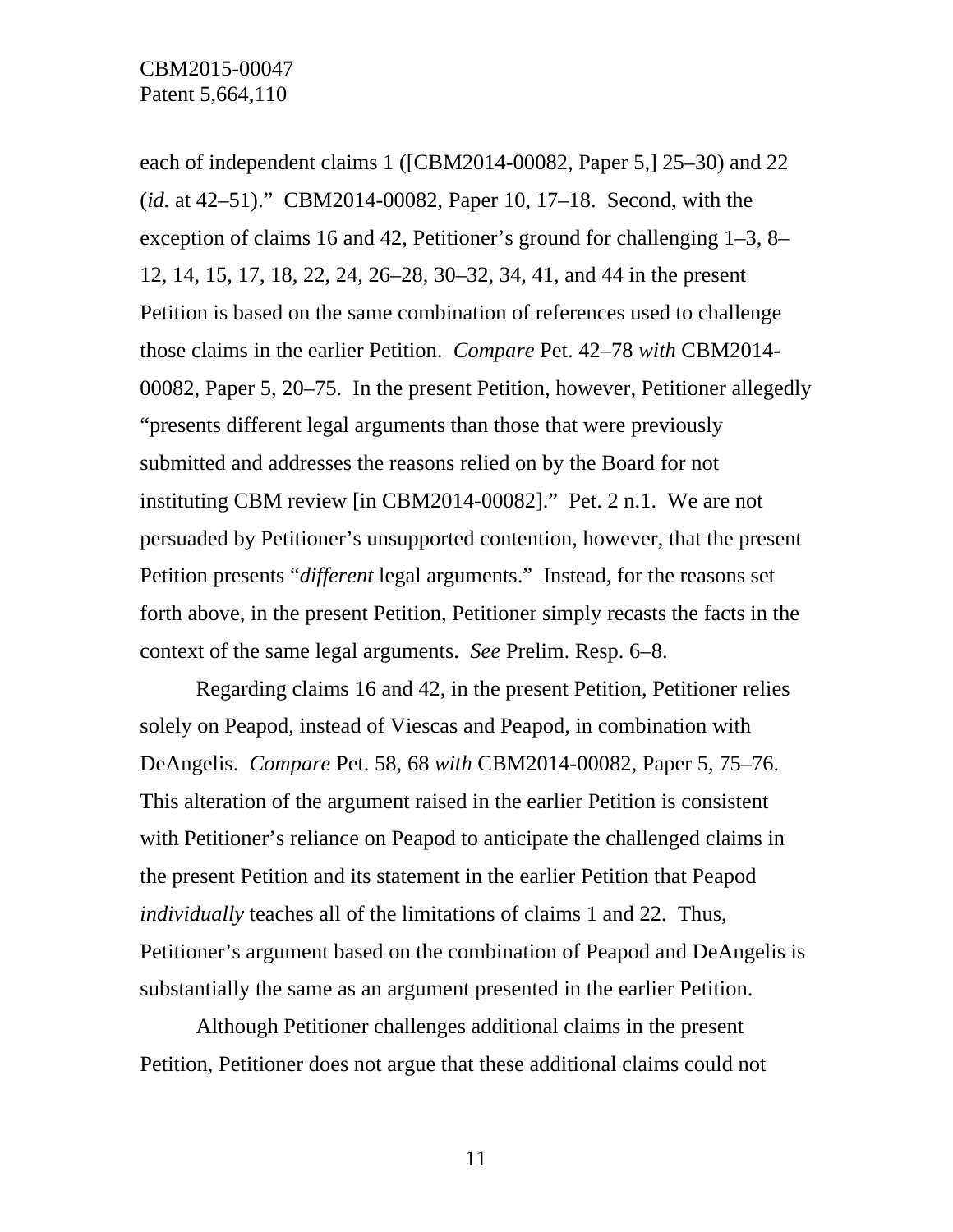each of independent claims 1 ([CBM2014-00082, Paper 5,] 25–30) and 22 (*id.* at 42–51)." CBM2014-00082, Paper 10, 17–18. Second, with the exception of claims 16 and 42, Petitioner's ground for challenging 1–3, 8– 12, 14, 15, 17, 18, 22, 24, 26–28, 30–32, 34, 41, and 44 in the present Petition is based on the same combination of references used to challenge those claims in the earlier Petition. *Compare* Pet. 42–78 *with* CBM2014- 00082, Paper 5, 20–75. In the present Petition, however, Petitioner allegedly "presents different legal arguments than those that were previously submitted and addresses the reasons relied on by the Board for not instituting CBM review [in CBM2014-00082]." Pet. 2 n.1. We are not persuaded by Petitioner's unsupported contention, however, that the present Petition presents "*different* legal arguments." Instead, for the reasons set forth above, in the present Petition, Petitioner simply recasts the facts in the context of the same legal arguments. *See* Prelim. Resp. 6–8.

Regarding claims 16 and 42, in the present Petition, Petitioner relies solely on Peapod, instead of Viescas and Peapod, in combination with DeAngelis. *Compare* Pet. 58, 68 *with* CBM2014-00082, Paper 5, 75–76. This alteration of the argument raised in the earlier Petition is consistent with Petitioner's reliance on Peapod to anticipate the challenged claims in the present Petition and its statement in the earlier Petition that Peapod *individually* teaches all of the limitations of claims 1 and 22. Thus, Petitioner's argument based on the combination of Peapod and DeAngelis is substantially the same as an argument presented in the earlier Petition.

Although Petitioner challenges additional claims in the present Petition, Petitioner does not argue that these additional claims could not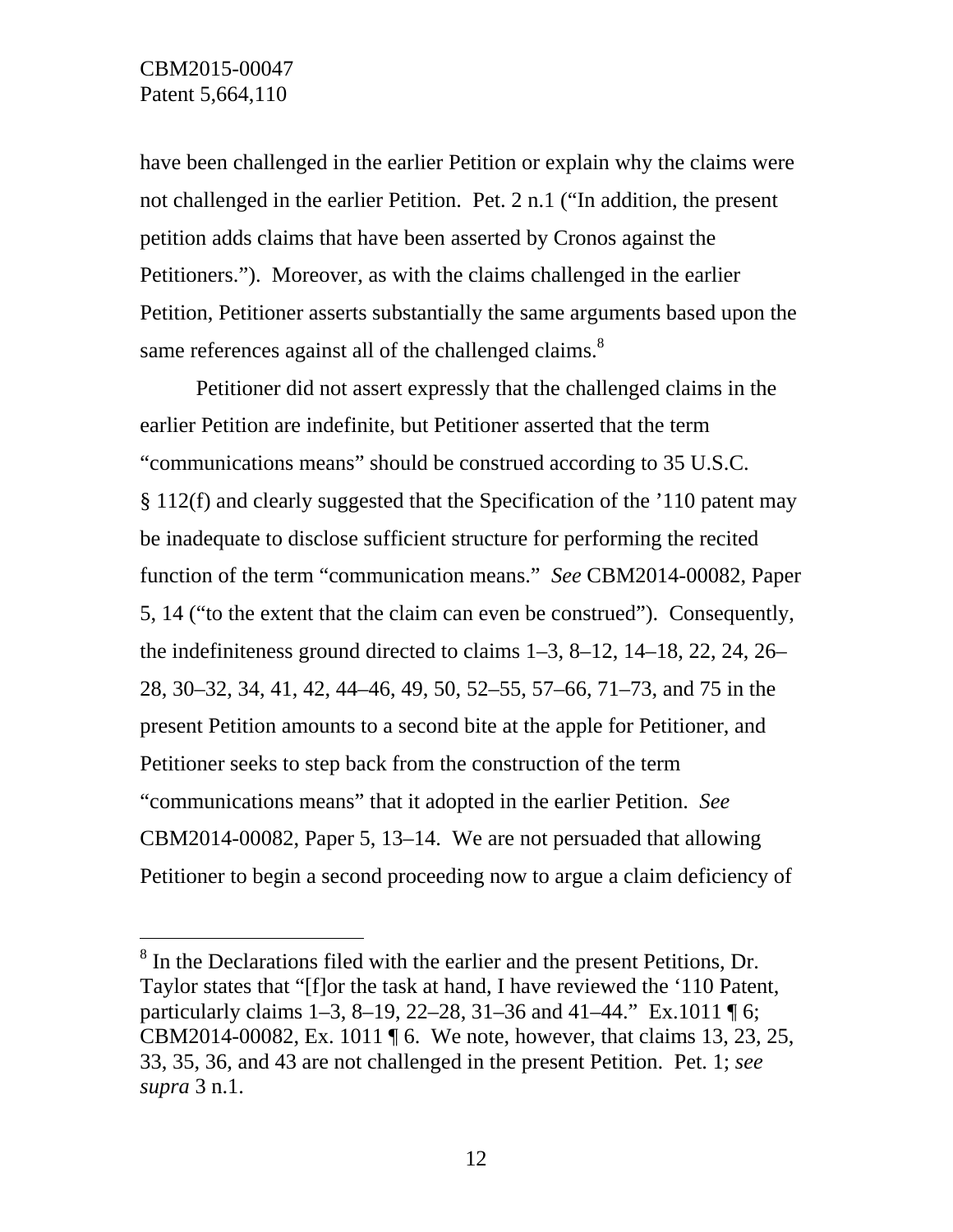$\overline{a}$ 

have been challenged in the earlier Petition or explain why the claims were not challenged in the earlier Petition. Pet. 2 n.1 ("In addition, the present petition adds claims that have been asserted by Cronos against the Petitioners."). Moreover, as with the claims challenged in the earlier Petition, Petitioner asserts substantially the same arguments based upon the same references against all of the challenged claims.<sup>8</sup>

Petitioner did not assert expressly that the challenged claims in the earlier Petition are indefinite, but Petitioner asserted that the term "communications means" should be construed according to 35 U.S.C. § 112(f) and clearly suggested that the Specification of the '110 patent may be inadequate to disclose sufficient structure for performing the recited function of the term "communication means." *See* CBM2014-00082, Paper 5, 14 ("to the extent that the claim can even be construed"). Consequently, the indefiniteness ground directed to claims 1–3, 8–12, 14–18, 22, 24, 26– 28, 30–32, 34, 41, 42, 44–46, 49, 50, 52–55, 57–66, 71–73, and 75 in the present Petition amounts to a second bite at the apple for Petitioner, and Petitioner seeks to step back from the construction of the term "communications means" that it adopted in the earlier Petition. *See* CBM2014-00082, Paper 5, 13–14. We are not persuaded that allowing Petitioner to begin a second proceeding now to argue a claim deficiency of

<sup>&</sup>lt;sup>8</sup> In the Declarations filed with the earlier and the present Petitions, Dr. Taylor states that "[f]or the task at hand, I have reviewed the '110 Patent, particularly claims 1–3, 8–19, 22–28, 31–36 and 41–44." Ex.1011  $\P$  6; CBM2014-00082, Ex. 1011 ¶ 6. We note, however, that claims 13, 23, 25, 33, 35, 36, and 43 are not challenged in the present Petition. Pet. 1; *see supra* 3 n.1.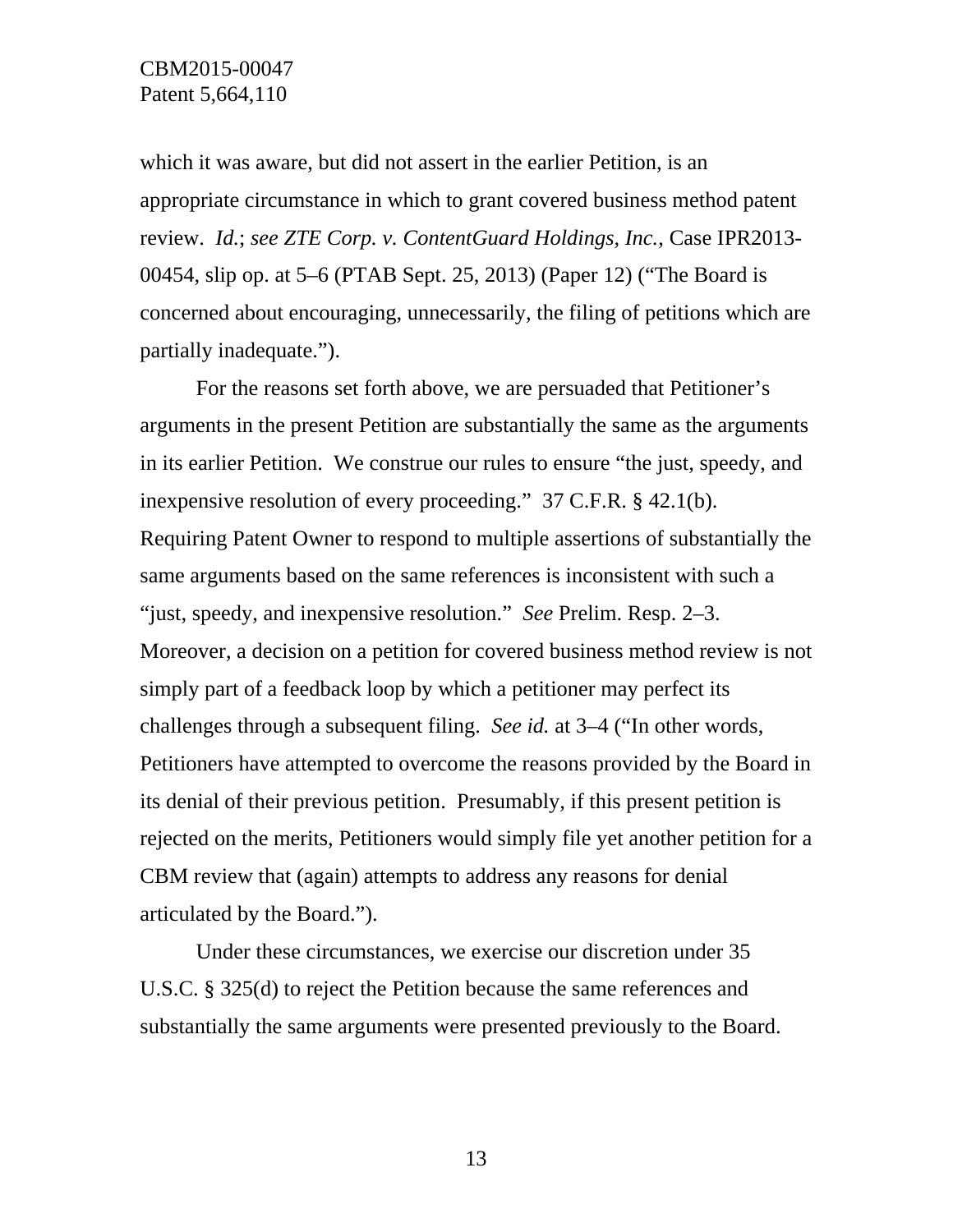which it was aware, but did not assert in the earlier Petition, is an appropriate circumstance in which to grant covered business method patent review. *Id.*; *see ZTE Corp. v. ContentGuard Holdings, Inc.*, Case IPR2013- 00454, slip op. at 5–6 (PTAB Sept. 25, 2013) (Paper 12) ("The Board is concerned about encouraging, unnecessarily, the filing of petitions which are partially inadequate.").

For the reasons set forth above, we are persuaded that Petitioner's arguments in the present Petition are substantially the same as the arguments in its earlier Petition. We construe our rules to ensure "the just, speedy, and inexpensive resolution of every proceeding." 37 C.F.R. § 42.1(b). Requiring Patent Owner to respond to multiple assertions of substantially the same arguments based on the same references is inconsistent with such a "just, speedy, and inexpensive resolution." *See* Prelim. Resp. 2–3. Moreover, a decision on a petition for covered business method review is not simply part of a feedback loop by which a petitioner may perfect its challenges through a subsequent filing. *See id.* at 3–4 ("In other words, Petitioners have attempted to overcome the reasons provided by the Board in its denial of their previous petition. Presumably, if this present petition is rejected on the merits, Petitioners would simply file yet another petition for a CBM review that (again) attempts to address any reasons for denial articulated by the Board.").

Under these circumstances, we exercise our discretion under 35 U.S.C. § 325(d) to reject the Petition because the same references and substantially the same arguments were presented previously to the Board.